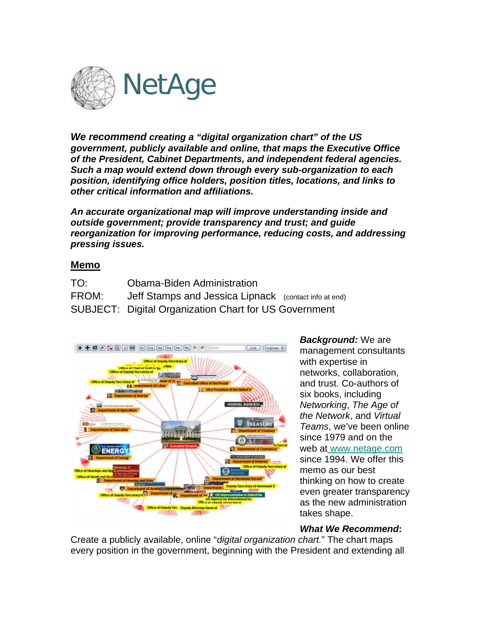

*We recommend creating a "digital organization chart" of the US government, publicly available and online, that maps the Executive Office of the President, Cabinet Departments, and independent federal agencies. Such a map would extend down through every sub-organization to each position, identifying office holders, position titles, locations, and links to other critical information and affiliations.* 

*An accurate organizational map will improve understanding inside and outside government; provide transparency and trust; and guide reorganization for improving performance, reducing costs, and addressing pressing issues.*

## **Memo**

| TO:   | Obama-Biden Administration                                   |  |
|-------|--------------------------------------------------------------|--|
| FROM: | Jeff Stamps and Jessica Lipnack (contact info at end)        |  |
|       | <b>SUBJECT: Digital Organization Chart for US Government</b> |  |



*Background:* We are management consultants with expertise in networks, collaboration, and trust. Co-authors of six books, including *Networking*, *The Age of the Network*, and *Virtual Teams*, we've been online since 1979 and on the web at www.netage.com thinking on how to create even greater transparency as the new administration since 1994. We offer this memo as our best takes shape.

## *What We Recommend***:**

Create a publicly available, online "*digital organization chart.*" The chart maps every position in the government, beginning with the President and extending all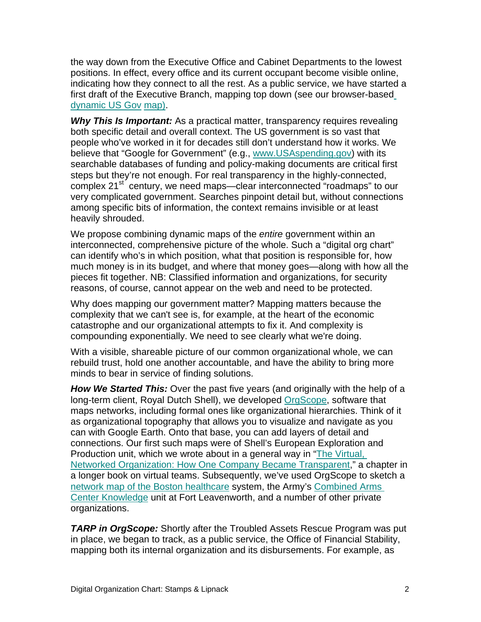the way down from the Executive Office and Cabinet Departments to the lowest positions. In effect, every office and its current occupant become visible online, indicating how they connect to all the rest. As a public service, we have starte[d](http://www.netage.com/economics/publish/USGov.html) a first draft of the Executive Branch, mapping top down (see our browser-based [dynamic US Gov](http://www.netage.com/economics/publish/USGov.html) map).

*Why This Is Important:* As a practical matter, transparency requires revealing both specific detail and overall context. The US government is so vast that people who've worked in it for decades still don't understand how it works. We believe that "Google for Government" (e.g., [www.USAspending.gov](http://www.usaspending.gov/)) with its searchable databases of funding and policy-making documents are critical first steps but they're not enough. For real transparency in the highly-connected, complex 21<sup>st</sup> century, we need maps—clear interconnected "roadmaps" to our very complicated government. Searches pinpoint detail but, without connections among specific bits of information, the context remains invisible or at least heavily shrouded.

We propose combining dynamic maps of the *entire* government within an interconnected, comprehensive picture of the whole. Such a "digital org chart" can identify who's in which position, what that position is responsible for, how much money is in its budget, and where that money goes—along with how all the pieces fit together. NB: Classified information and organizations, for security reasons, of course, cannot appear on the web and need to be protected.

Why does mapping our government matter? Mapping matters because the complexity that we can't see is, for example, at the heart of the economic catastrophe and our organizational attempts to fix it. And complexity is compounding exponentially. We need to see clearly what we're doing.

With a visible, shareable picture of our common organizational whole, we can rebuild trust, hold one another accountable, and have the ability to bring more minds to bear in service of finding solutions.

*How We Started This:* Over the past five years (and originally with the help of a long-term client, Royal Dutch Shell), we developed [OrgScope](http://www.netage.com/orgscope/index.html), software that maps networks, including formal ones like organizational hierarchies. Think of it as organizational topography that allows you to visualize and navigate as you can with Google Earth. Onto that base, you can add layers of detail and connections. Our first such maps were of Shell's European Exploration and Production unit, which we wrote about in a general way in "[The Virtual,](http://www.netage.com/pub/articles/articles%20-%20new/Virtual%20Networked%20Org_pg-proof.pdf)  [Networked Organization: How One Company Became Transparent](http://www.netage.com/pub/articles/articles%20-%20new/Virtual%20Networked%20Org_pg-proof.pdf)," a chapter in a longer book on virtual teams. Subsequently, we've used OrgScope to sketch a [network map of the Boston healthcare](http://www.netage.com/healthcare/index.html) system, the Army's [Combined Arms](http://usacac.army.mil/cac2/cac-k/index.asp)  [Center Knowledge](http://usacac.army.mil/cac2/cac-k/index.asp) unit at Fort Leavenworth, and a number of other private organizations.

*TARP in OrgScope:* Shortly after the Troubled Assets Rescue Program was put in place, we began to track, as a public service, the Office of Financial Stability, mapping both its internal organization and its disbursements. For example, as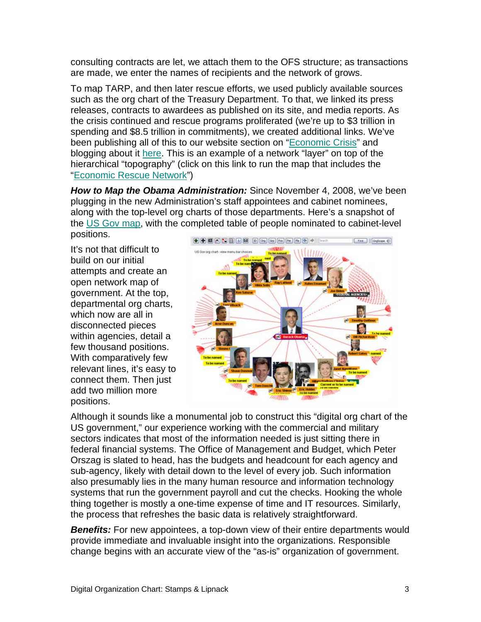consulting contracts are let, we attach them to the OFS structure; as transactions are made, we enter the names of recipients and the network of grows.

To map TARP, and then later rescue efforts, we used publicly available sources such as the org chart of the Treasury Department. To that, we linked its press releases, contracts to awardees as published on its site, and media reports. As the crisis continued and rescue programs proliferated (we're up to \$3 trillion in spending and \$8.5 trillion in commitments), we created additional links. We've been publishing all of this to our website section on ["Economic Crisis](http://www.netage.com/economics/index-finCrisis.html)" and blogging about it [here](http://endlessknots.netage.com/endlessknots/office_of_financial_stability/). This is an example of a network "layer" on top of the hierarchical "topography" (click on this link to run the map that includes the "[Economic Rescue Network](http://www.netage.com/economics/publish/USGov-rescue.html)")

*How to Map the Obama Administration:* Since November 4, 2008, we've been plugging in the new Administration's staff appointees and cabinet nominees, along with the top-level org charts of those departments. Here's a snapshot of the [US Gov map,](http://www.netage.com/economics/publish/USGov.html) with the completed table of people nominated to cabinet-level positions.

It's not that difficult to build on our initial attempts and create an open network map of government. At the top, departmental org charts, which now are all in disconnected pieces within agencies, detail a few thousand positions. With comparatively few relevant lines, it's easy to connect them. Then just add two million more positions.



Although it sounds like a monumental job to construct this "digital org chart of the US government," our experience working with the commercial and military sectors indicates that most of the information needed is just sitting there in federal financial systems. The Office of Management and Budget, which Peter Orszag is slated to head, has the budgets and headcount for each agency and sub-agency, likely with detail down to the level of every job. Such information also presumably lies in the many human resource and information technology systems that run the government payroll and cut the checks. Hooking the whole thing together is mostly a one-time expense of time and IT resources. Similarly, the process that refreshes the basic data is relatively straightforward.

**Benefits:** For new appointees, a top-down view of their entire departments would provide immediate and invaluable insight into the organizations. Responsible change begins with an accurate view of the "as-is" organization of government.